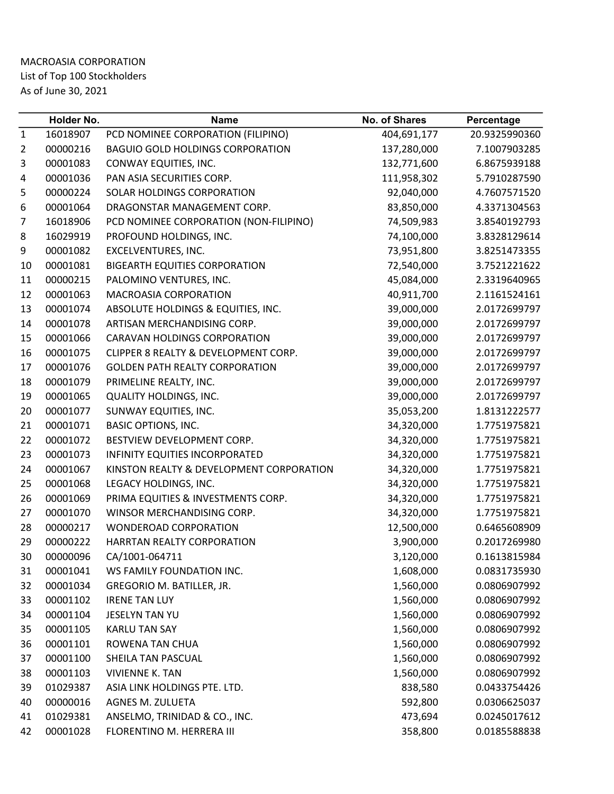## MACROASIA CORPORATION List of Top 100 Stockholders As of June 30, 2021

|              | Holder No. | <b>Name</b>                              | No. of Shares | Percentage    |
|--------------|------------|------------------------------------------|---------------|---------------|
| $\mathbf{1}$ | 16018907   | PCD NOMINEE CORPORATION (FILIPINO)       | 404,691,177   | 20.9325990360 |
| 2            | 00000216   | <b>BAGUIO GOLD HOLDINGS CORPORATION</b>  | 137,280,000   | 7.1007903285  |
| 3            | 00001083   | CONWAY EQUITIES, INC.                    | 132,771,600   | 6.8675939188  |
| 4            | 00001036   | PAN ASIA SECURITIES CORP.                | 111,958,302   | 5.7910287590  |
| 5            | 00000224   | SOLAR HOLDINGS CORPORATION               | 92,040,000    | 4.7607571520  |
| 6            | 00001064   | DRAGONSTAR MANAGEMENT CORP.              | 83,850,000    | 4.3371304563  |
| 7            | 16018906   | PCD NOMINEE CORPORATION (NON-FILIPINO)   | 74,509,983    | 3.8540192793  |
| 8            | 16029919   | PROFOUND HOLDINGS, INC.                  | 74,100,000    | 3.8328129614  |
| 9            | 00001082   | EXCELVENTURES, INC.                      | 73,951,800    | 3.8251473355  |
| 10           | 00001081   | <b>BIGEARTH EQUITIES CORPORATION</b>     | 72,540,000    | 3.7521221622  |
| 11           | 00000215   | PALOMINO VENTURES, INC.                  | 45,084,000    | 2.3319640965  |
| 12           | 00001063   | MACROASIA CORPORATION                    | 40,911,700    | 2.1161524161  |
| 13           | 00001074   | ABSOLUTE HOLDINGS & EQUITIES, INC.       | 39,000,000    | 2.0172699797  |
| 14           | 00001078   | ARTISAN MERCHANDISING CORP.              | 39,000,000    | 2.0172699797  |
| 15           | 00001066   | CARAVAN HOLDINGS CORPORATION             | 39,000,000    | 2.0172699797  |
| 16           | 00001075   | CLIPPER 8 REALTY & DEVELOPMENT CORP.     | 39,000,000    | 2.0172699797  |
| 17           | 00001076   | <b>GOLDEN PATH REALTY CORPORATION</b>    | 39,000,000    | 2.0172699797  |
| 18           | 00001079   | PRIMELINE REALTY, INC.                   | 39,000,000    | 2.0172699797  |
| 19           | 00001065   | QUALITY HOLDINGS, INC.                   | 39,000,000    | 2.0172699797  |
| 20           | 00001077   | SUNWAY EQUITIES, INC.                    | 35,053,200    | 1.8131222577  |
| 21           | 00001071   | <b>BASIC OPTIONS, INC.</b>               | 34,320,000    | 1.7751975821  |
| 22           | 00001072   | BESTVIEW DEVELOPMENT CORP.               | 34,320,000    | 1.7751975821  |
| 23           | 00001073   | INFINITY EQUITIES INCORPORATED           | 34,320,000    | 1.7751975821  |
| 24           | 00001067   | KINSTON REALTY & DEVELOPMENT CORPORATION | 34,320,000    | 1.7751975821  |
| 25           | 00001068   | LEGACY HOLDINGS, INC.                    | 34,320,000    | 1.7751975821  |
| 26           | 00001069   | PRIMA EQUITIES & INVESTMENTS CORP.       | 34,320,000    | 1.7751975821  |
| 27           | 00001070   | WINSOR MERCHANDISING CORP.               | 34,320,000    | 1.7751975821  |
| 28           | 00000217   | <b>WONDEROAD CORPORATION</b>             | 12,500,000    | 0.6465608909  |
| 29           | 00000222   | HARRTAN REALTY CORPORATION               | 3,900,000     | 0.2017269980  |
| 30           | 00000096   | CA/1001-064711                           | 3,120,000     | 0.1613815984  |
| 31           | 00001041   | WS FAMILY FOUNDATION INC.                | 1,608,000     | 0.0831735930  |
| 32           | 00001034   | GREGORIO M. BATILLER, JR.                | 1,560,000     | 0.0806907992  |
| 33           | 00001102   | <b>IRENE TAN LUY</b>                     | 1,560,000     | 0.0806907992  |
| 34           | 00001104   | JESELYN TAN YU                           | 1,560,000     | 0.0806907992  |
| 35           | 00001105   | <b>KARLU TAN SAY</b>                     | 1,560,000     | 0.0806907992  |
| 36           | 00001101   | ROWENA TAN CHUA                          | 1,560,000     | 0.0806907992  |
| 37           | 00001100   | SHEILA TAN PASCUAL                       | 1,560,000     | 0.0806907992  |
| 38           | 00001103   | <b>VIVIENNE K. TAN</b>                   | 1,560,000     | 0.0806907992  |
| 39           | 01029387   | ASIA LINK HOLDINGS PTE. LTD.             | 838,580       | 0.0433754426  |
| 40           | 00000016   | AGNES M. ZULUETA                         | 592,800       | 0.0306625037  |
| 41           | 01029381   | ANSELMO, TRINIDAD & CO., INC.            | 473,694       | 0.0245017612  |
| 42           | 00001028   | FLORENTINO M. HERRERA III                | 358,800       | 0.0185588838  |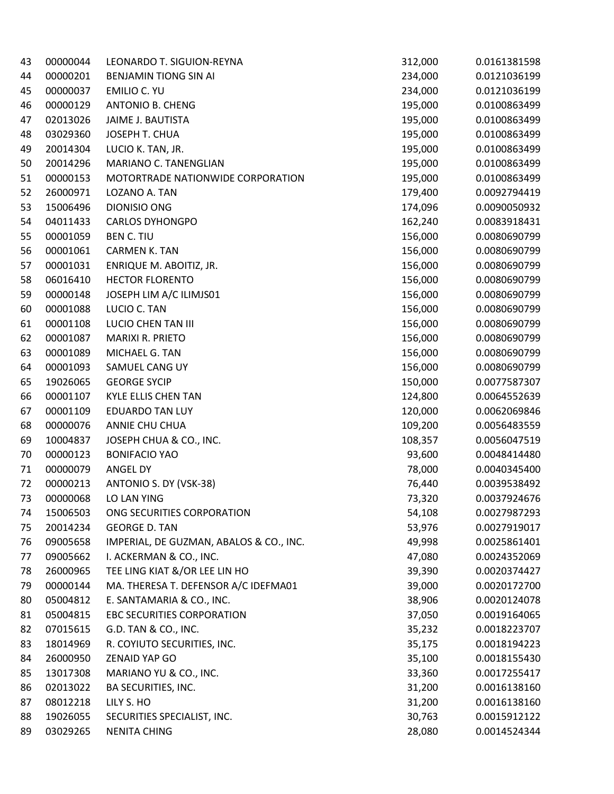| 43 | 00000044 | LEONARDO T. SIGUION-REYNA               | 312,000 | 0.0161381598 |
|----|----------|-----------------------------------------|---------|--------------|
| 44 | 00000201 | BENJAMIN TIONG SIN AI                   | 234,000 | 0.0121036199 |
| 45 | 00000037 | EMILIO C. YU                            | 234,000 | 0.0121036199 |
| 46 | 00000129 | <b>ANTONIO B. CHENG</b>                 | 195,000 | 0.0100863499 |
| 47 | 02013026 | JAIME J. BAUTISTA                       | 195,000 | 0.0100863499 |
| 48 | 03029360 | JOSEPH T. CHUA                          | 195,000 | 0.0100863499 |
| 49 | 20014304 | LUCIO K. TAN, JR.                       | 195,000 | 0.0100863499 |
| 50 | 20014296 | MARIANO C. TANENGLIAN                   | 195,000 | 0.0100863499 |
| 51 | 00000153 | MOTORTRADE NATIONWIDE CORPORATION       | 195,000 | 0.0100863499 |
| 52 | 26000971 | LOZANO A. TAN                           | 179,400 | 0.0092794419 |
| 53 | 15006496 | DIONISIO ONG                            | 174,096 | 0.0090050932 |
| 54 | 04011433 | <b>CARLOS DYHONGPO</b>                  | 162,240 | 0.0083918431 |
| 55 | 00001059 | <b>BEN C. TIU</b>                       | 156,000 | 0.0080690799 |
| 56 | 00001061 | <b>CARMEN K. TAN</b>                    | 156,000 | 0.0080690799 |
| 57 | 00001031 | ENRIQUE M. ABOITIZ, JR.                 | 156,000 | 0.0080690799 |
| 58 | 06016410 | <b>HECTOR FLORENTO</b>                  | 156,000 | 0.0080690799 |
| 59 | 00000148 | JOSEPH LIM A/C ILIMJS01                 | 156,000 | 0.0080690799 |
| 60 | 00001088 | LUCIO C. TAN                            | 156,000 | 0.0080690799 |
| 61 | 00001108 | <b>LUCIO CHEN TAN III</b>               | 156,000 | 0.0080690799 |
| 62 | 00001087 | MARIXI R. PRIETO                        | 156,000 | 0.0080690799 |
| 63 | 00001089 | MICHAEL G. TAN                          | 156,000 | 0.0080690799 |
| 64 | 00001093 | SAMUEL CANG UY                          | 156,000 | 0.0080690799 |
| 65 | 19026065 | <b>GEORGE SYCIP</b>                     | 150,000 | 0.0077587307 |
| 66 | 00001107 | KYLE ELLIS CHEN TAN                     | 124,800 | 0.0064552639 |
| 67 | 00001109 | <b>EDUARDO TAN LUY</b>                  | 120,000 | 0.0062069846 |
| 68 | 00000076 | ANNIE CHU CHUA                          | 109,200 | 0.0056483559 |
| 69 | 10004837 | JOSEPH CHUA & CO., INC.                 | 108,357 | 0.0056047519 |
| 70 | 00000123 | <b>BONIFACIO YAO</b>                    | 93,600  | 0.0048414480 |
| 71 | 00000079 | ANGEL DY                                | 78,000  | 0.0040345400 |
| 72 | 00000213 | ANTONIO S. DY (VSK-38)                  | 76,440  | 0.0039538492 |
| 73 | 00000068 | LO LAN YING                             | 73,320  | 0.0037924676 |
| 74 | 15006503 | ONG SECURITIES CORPORATION              | 54,108  | 0.0027987293 |
| 75 | 20014234 | <b>GEORGE D. TAN</b>                    | 53,976  | 0.0027919017 |
| 76 | 09005658 | IMPERIAL, DE GUZMAN, ABALOS & CO., INC. | 49,998  | 0.0025861401 |
| 77 | 09005662 | I. ACKERMAN & CO., INC.                 | 47,080  | 0.0024352069 |
| 78 | 26000965 | TEE LING KIAT &/OR LEE LIN HO           | 39,390  | 0.0020374427 |
| 79 | 00000144 | MA. THERESA T. DEFENSOR A/C IDEFMA01    | 39,000  | 0.0020172700 |
| 80 | 05004812 | E. SANTAMARIA & CO., INC.               | 38,906  | 0.0020124078 |
| 81 | 05004815 | EBC SECURITIES CORPORATION              | 37,050  | 0.0019164065 |
| 82 | 07015615 | G.D. TAN & CO., INC.                    | 35,232  | 0.0018223707 |
| 83 | 18014969 | R. COYIUTO SECURITIES, INC.             | 35,175  | 0.0018194223 |
| 84 | 26000950 | <b>ZENAID YAP GO</b>                    | 35,100  | 0.0018155430 |
| 85 | 13017308 | MARIANO YU & CO., INC.                  | 33,360  | 0.0017255417 |
| 86 | 02013022 | <b>BA SECURITIES, INC.</b>              | 31,200  | 0.0016138160 |
| 87 | 08012218 | LILY S. HO                              | 31,200  | 0.0016138160 |
| 88 | 19026055 | SECURITIES SPECIALIST, INC.             | 30,763  | 0.0015912122 |
| 89 | 03029265 | <b>NENITA CHING</b>                     | 28,080  | 0.0014524344 |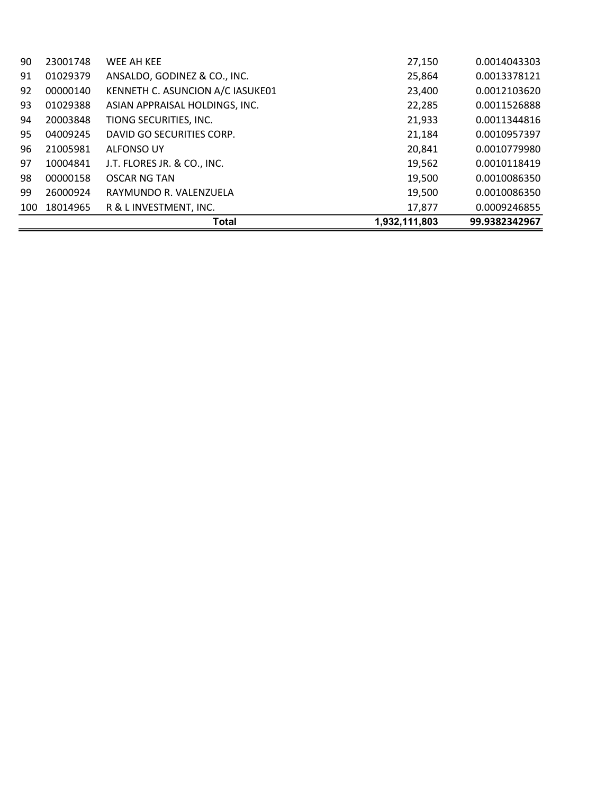|     |          | Total                            | 1,932,111,803 | 99.9382342967 |
|-----|----------|----------------------------------|---------------|---------------|
| 100 | 18014965 | R & L INVESTMENT, INC.           | 17,877        | 0.0009246855  |
| 99  | 26000924 | RAYMUNDO R. VALENZUELA           | 19,500        | 0.0010086350  |
| 98  | 00000158 | <b>OSCAR NG TAN</b>              | 19,500        | 0.0010086350  |
| 97  | 10004841 | J.T. FLORES JR. & CO., INC.      | 19,562        | 0.0010118419  |
| 96  | 21005981 | <b>ALFONSO UY</b>                | 20,841        | 0.0010779980  |
| 95  | 04009245 | DAVID GO SECURITIES CORP.        | 21,184        | 0.0010957397  |
| 94  | 20003848 | TIONG SECURITIES, INC.           | 21,933        | 0.0011344816  |
| 93  | 01029388 | ASIAN APPRAISAL HOLDINGS, INC.   | 22,285        | 0.0011526888  |
| 92  | 00000140 | KENNETH C. ASUNCION A/C IASUKE01 | 23,400        | 0.0012103620  |
| 91  | 01029379 | ANSALDO, GODINEZ & CO., INC.     | 25,864        | 0.0013378121  |
| 90  | 23001748 | WEE AH KEE                       | 27,150        | 0.0014043303  |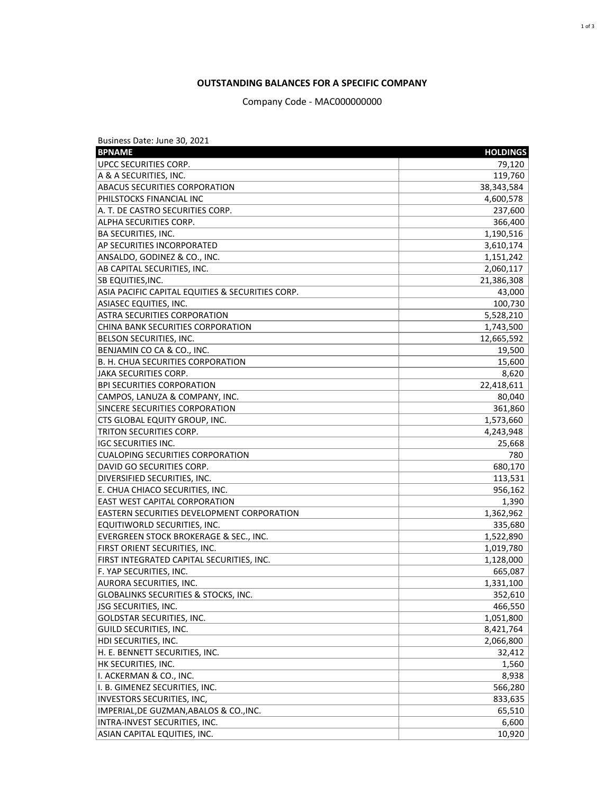## **OUTSTANDING BALANCES FOR A SPECIFIC COMPANY**

Company Code - MAC000000000

| Business Date: June 30, 2021                      |                 |
|---------------------------------------------------|-----------------|
| <b>BPNAME</b>                                     | <b>HOLDINGS</b> |
| UPCC SECURITIES CORP.                             | 79,120          |
| A & A SECURITIES, INC.                            | 119,760         |
| <b>ABACUS SECURITIES CORPORATION</b>              | 38,343,584      |
| PHILSTOCKS FINANCIAL INC                          | 4,600,578       |
| A. T. DE CASTRO SECURITIES CORP.                  | 237,600         |
| ALPHA SECURITIES CORP.                            | 366,400         |
| <b>BA SECURITIES, INC.</b>                        | 1,190,516       |
| AP SECURITIES INCORPORATED                        | 3,610,174       |
| ANSALDO, GODINEZ & CO., INC.                      | 1,151,242       |
| AB CAPITAL SECURITIES, INC.                       | 2,060,117       |
| <b>SB EQUITIES, INC.</b>                          | 21,386,308      |
| ASIA PACIFIC CAPITAL EQUITIES & SECURITIES CORP.  | 43,000          |
| <b>ASIASEC EQUITIES, INC.</b>                     | 100,730         |
| <b>ASTRA SECURITIES CORPORATION</b>               | 5,528,210       |
| CHINA BANK SECURITIES CORPORATION                 | 1,743,500       |
| BELSON SECURITIES, INC.                           | 12,665,592      |
| BENJAMIN CO CA & CO., INC.                        | 19,500          |
| B. H. CHUA SECURITIES CORPORATION                 | 15,600          |
| JAKA SECURITIES CORP.                             | 8,620           |
| <b>BPI SECURITIES CORPORATION</b>                 | 22,418,611      |
| CAMPOS, LANUZA & COMPANY, INC.                    | 80,040          |
| SINCERE SECURITIES CORPORATION                    | 361,860         |
| CTS GLOBAL EQUITY GROUP, INC.                     | 1,573,660       |
| TRITON SECURITIES CORP.                           | 4,243,948       |
| IGC SECURITIES INC.                               | 25,668          |
| <b>CUALOPING SECURITIES CORPORATION</b>           | 780             |
| DAVID GO SECURITIES CORP.                         | 680,170         |
| DIVERSIFIED SECURITIES, INC.                      | 113,531         |
| E. CHUA CHIACO SECURITIES, INC.                   | 956,162         |
| <b>EAST WEST CAPITAL CORPORATION</b>              | 1,390           |
| <b>EASTERN SECURITIES DEVELOPMENT CORPORATION</b> | 1,362,962       |
| EQUITIWORLD SECURITIES, INC.                      | 335,680         |
| EVERGREEN STOCK BROKERAGE & SEC., INC.            | 1,522,890       |
| FIRST ORIENT SECURITIES, INC.                     | 1,019,780       |
| FIRST INTEGRATED CAPITAL SECURITIES, INC.         | 1,128,000       |
| F. YAP SECURITIES, INC.                           | 665,087         |
| AURORA SECURITIES, INC.                           | 1,331,100       |
| <b>GLOBALINKS SECURITIES &amp; STOCKS, INC.</b>   | 352,610         |
| JSG SECURITIES, INC.                              | 466,550         |
| GOLDSTAR SECURITIES, INC.                         | 1,051,800       |
| GUILD SECURITIES, INC.                            | 8,421,764       |
| HDI SECURITIES, INC.                              | 2,066,800       |
| H. E. BENNETT SECURITIES, INC.                    | 32,412          |
| HK SECURITIES, INC.                               | 1,560           |
|                                                   |                 |
| I. ACKERMAN & CO., INC.                           | 8,938           |
| I. B. GIMENEZ SECURITIES, INC.                    | 566,280         |
| INVESTORS SECURITIES, INC,                        | 833,635         |
| IMPERIAL, DE GUZMAN, ABALOS & CO., INC.           | 65,510          |
| INTRA-INVEST SECURITIES, INC.                     | 6,600           |
| ASIAN CAPITAL EQUITIES, INC.                      | 10,920          |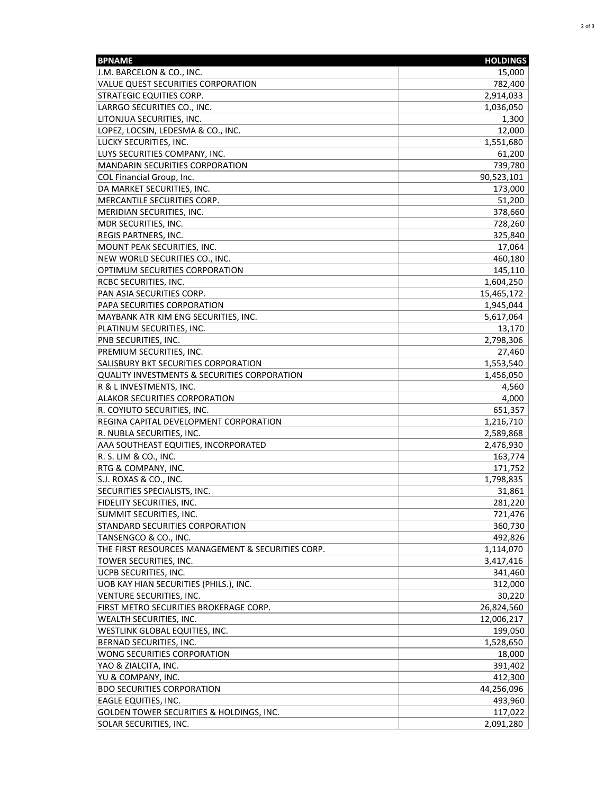| <b>BPNAME</b>                                           | <b>HOLDINGS</b> |
|---------------------------------------------------------|-----------------|
| J.M. BARCELON & CO., INC.                               | 15,000          |
| VALUE QUEST SECURITIES CORPORATION                      | 782,400         |
| STRATEGIC EQUITIES CORP.                                | 2,914,033       |
| LARRGO SECURITIES CO., INC.                             | 1,036,050       |
| LITONJUA SECURITIES, INC.                               | 1,300           |
| LOPEZ, LOCSIN, LEDESMA & CO., INC.                      | 12,000          |
| LUCKY SECURITIES, INC.                                  | 1,551,680       |
| LUYS SECURITIES COMPANY, INC.                           | 61,200          |
| MANDARIN SECURITIES CORPORATION                         | 739,780         |
| COL Financial Group, Inc.                               | 90,523,101      |
| DA MARKET SECURITIES, INC.                              | 173,000         |
| MERCANTILE SECURITIES CORP.                             | 51,200          |
| MERIDIAN SECURITIES, INC.                               | 378,660         |
| MDR SECURITIES, INC.                                    | 728,260         |
| REGIS PARTNERS, INC.                                    | 325,840         |
| MOUNT PEAK SECURITIES, INC.                             | 17,064          |
| NEW WORLD SECURITIES CO., INC.                          | 460,180         |
| OPTIMUM SECURITIES CORPORATION                          | 145,110         |
| RCBC SECURITIES, INC.                                   | 1,604,250       |
| PAN ASIA SECURITIES CORP.                               | 15,465,172      |
| PAPA SECURITIES CORPORATION                             | 1,945,044       |
| MAYBANK ATR KIM ENG SECURITIES, INC.                    | 5,617,064       |
| PLATINUM SECURITIES, INC.                               | 13,170          |
| PNB SECURITIES, INC.                                    | 2,798,306       |
| PREMIUM SECURITIES, INC.                                | 27,460          |
| SALISBURY BKT SECURITIES CORPORATION                    | 1,553,540       |
| <b>QUALITY INVESTMENTS &amp; SECURITIES CORPORATION</b> | 1,456,050       |
| R & L INVESTMENTS, INC.                                 | 4,560           |
| ALAKOR SECURITIES CORPORATION                           | 4,000           |
| R. COYIUTO SECURITIES, INC.                             | 651,357         |
| REGINA CAPITAL DEVELOPMENT CORPORATION                  | 1,216,710       |
| R. NUBLA SECURITIES, INC.                               | 2,589,868       |
| AAA SOUTHEAST EQUITIES, INCORPORATED                    | 2,476,930       |
| R. S. LIM & CO., INC.                                   | 163,774         |
| RTG & COMPANY, INC.                                     | 171,752         |
| S.J. ROXAS & CO., INC.                                  | 1,798,835       |
| SECURITIES SPECIALISTS, INC.                            | 31,861          |
| FIDELITY SECURITIES, INC.                               | 281,220         |
| SUMMIT SECURITIES, INC.                                 | 721,476         |
| STANDARD SECURITIES CORPORATION                         | 360,730         |
| TANSENGCO & CO., INC.                                   | 492,826         |
| THE FIRST RESOURCES MANAGEMENT & SECURITIES CORP.       | 1,114,070       |
| TOWER SECURITIES, INC.                                  | 3,417,416       |
| UCPB SECURITIES, INC.                                   | 341,460         |
| UOB KAY HIAN SECURITIES (PHILS.), INC.                  | 312,000         |
| VENTURE SECURITIES, INC.                                | 30,220          |
| FIRST METRO SECURITIES BROKERAGE CORP.                  | 26,824,560      |
| WEALTH SECURITIES, INC.                                 | 12,006,217      |
| WESTLINK GLOBAL EQUITIES, INC.                          | 199,050         |
| BERNAD SECURITIES, INC.                                 | 1,528,650       |
| WONG SECURITIES CORPORATION                             | 18,000          |
| YAO & ZIALCITA, INC.                                    | 391,402         |
| YU & COMPANY, INC.                                      | 412,300         |
| <b>BDO SECURITIES CORPORATION</b>                       | 44,256,096      |
| EAGLE EQUITIES, INC.                                    | 493,960         |
| GOLDEN TOWER SECURITIES & HOLDINGS, INC.                | 117,022         |
| SOLAR SECURITIES, INC.                                  | 2,091,280       |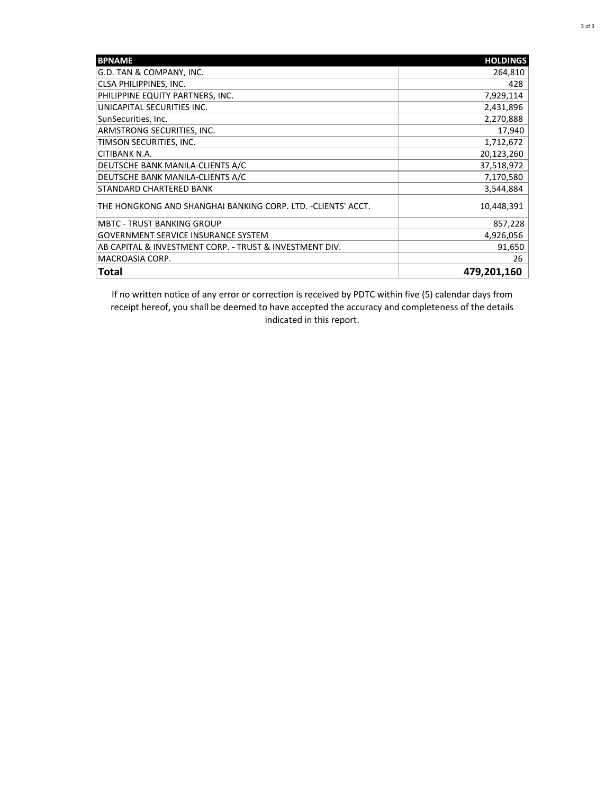| <b>BPNAME</b>                                                | <b>HOLDINGS</b> |
|--------------------------------------------------------------|-----------------|
| G.D. TAN & COMPANY, INC.                                     | 264,810         |
| CLSA PHILIPPINES, INC.                                       | 428             |
| PHILIPPINE EQUITY PARTNERS, INC.                             | 7,929,114       |
| UNICAPITAL SECURITIES INC.                                   | 2,431,896       |
| SunSecurities, Inc.                                          | 2,270,888       |
| ARMSTRONG SECURITIES, INC.                                   | 17,940          |
| TIMSON SECURITIES, INC.                                      | 1,712,672       |
| CITIBANK N.A.                                                | 20,123,260      |
| DEUTSCHE BANK MANILA-CLIENTS A/C                             | 37,518,972      |
| DEUTSCHE BANK MANILA-CLIENTS A/C                             | 7,170,580       |
| STANDARD CHARTERED BANK                                      | 3,544,884       |
| THE HONGKONG AND SHANGHAI BANKING CORP. LTD. -CLIENTS' ACCT. | 10,448,391      |
| <b>MBTC - TRUST BANKING GROUP</b>                            | 857,228         |
| <b>GOVERNMENT SERVICE INSURANCE SYSTEM</b>                   | 4,926,056       |
| AB CAPITAL & INVESTMENT CORP. - TRUST & INVESTMENT DIV.      | 91,650          |
| MACROASIA CORP.                                              | 26              |
| Total                                                        | 479,201,160     |

If no written notice of any error or correction is received by PDTC within five (5) calendar days from receipt hereof, you shall be deemed to have accepted the accuracy and completeness of the details indicated in this report.